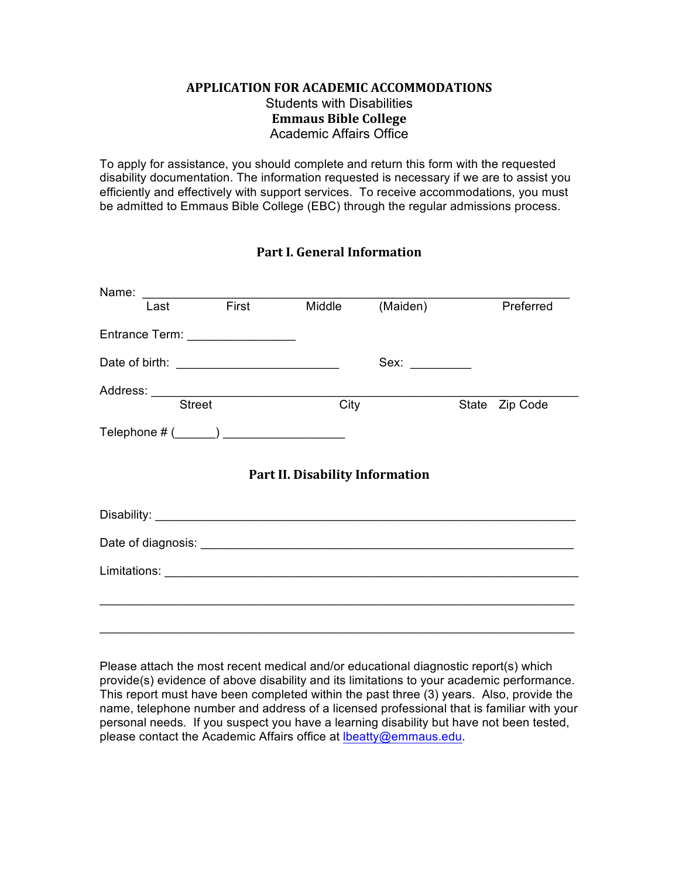## **APPLICATION FOR ACADEMIC ACCOMMODATIONS** Students with Disabilities **Emmaus Bible College** Academic Affairs Office

To apply for assistance, you should complete and return this form with the requested disability documentation. The information requested is necessary if we are to assist you efficiently and effectively with support services. To receive accommodations, you must be admitted to Emmaus Bible College (EBC) through the regular admissions process.

## **Part I. General Information**

| Last                                   | <b>Eirst</b>                     | Middle | (Maiden)    |  | Preferred      |
|----------------------------------------|----------------------------------|--------|-------------|--|----------------|
|                                        | Entrance Term: _________________ |        |             |  |                |
|                                        |                                  |        | Sex: $\_\_$ |  |                |
|                                        |                                  |        |             |  |                |
|                                        | <b>Street</b>                    | City   |             |  | State Zip Code |
|                                        |                                  |        |             |  |                |
| <b>Part II. Disability Information</b> |                                  |        |             |  |                |
|                                        |                                  |        |             |  |                |
|                                        |                                  |        |             |  |                |
|                                        |                                  |        |             |  |                |
|                                        |                                  |        |             |  |                |
|                                        |                                  |        |             |  |                |
|                                        |                                  |        |             |  |                |

Please attach the most recent medical and/or educational diagnostic report(s) which provide(s) evidence of above disability and its limitations to your academic performance. This report must have been completed within the past three (3) years. Also, provide the name, telephone number and address of a licensed professional that is familiar with your personal needs. If you suspect you have a learning disability but have not been tested, please contact the Academic Affairs office at Ibeatty@emmaus.edu.